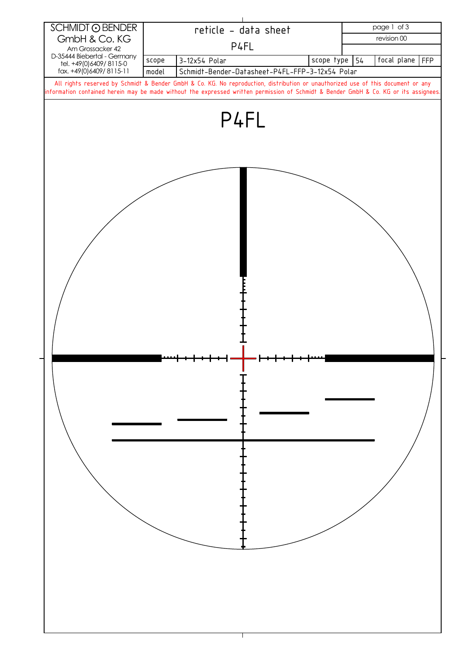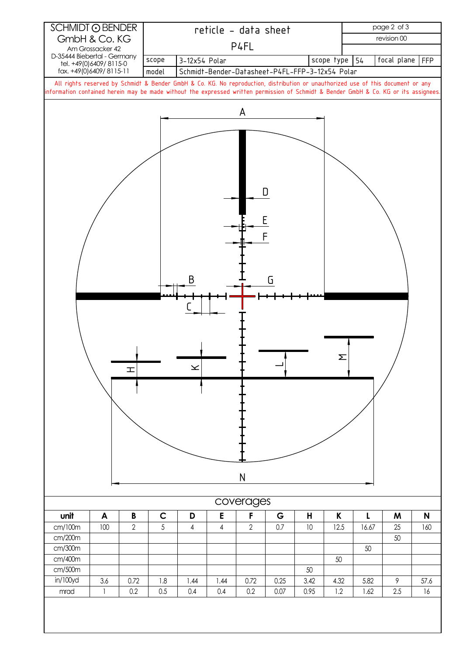